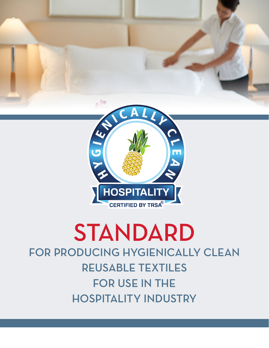



# STANDARD FOR PRODUCING HYGIENICALLY CLEAN REUSABLE TEXTILES FOR USE IN THE HOSPITALITY INDUSTRY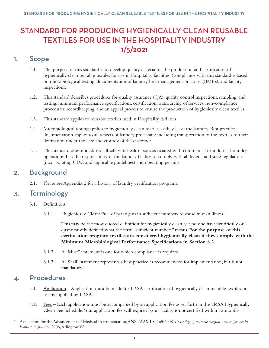# STANDARD FOR PRODUCING HYGIENICALLY CLEAN REUSABLE TEXTILES FOR USE IN THE HOSPITALITY INDUSTRY 1/5/2021

### 1. Scope

- 1.1. The purpose of this standard is to develop quality criteria for the production and certification of hygienically clean reusable textiles for use in Hospitality facilities. Compliance with this standard is based on microbiological testing, documentation of laundry best management practices (BMP's), and facility inspections.
- 1.2. This standard describes procedures for quality assurance (QA); quality control inspections, sampling, and testing; minimum performance specifications; certification; outsourcing of services; non-compliance procedures; recordkeeping; and an appeal process to ensure the production of hygienically clean textiles.
- 1.3. This standard applies to reusable textiles used in Hospitality facilities.
- 1.4. Microbiological testing applies to hygienically clean textiles as they leave the laundry. Best practices documentation applies to all aspects of laundry processing including transportation of the textiles to their destination under the care and custody of the customer.
- 1.5. This standard does not address all safety or health issues associated with commercial or industrial laundry operations. It is the responsibility of the laundry facility to comply with all federal and state regulations (incorporating CDC and applicable guidelines) and operating permits.

### 2. Background

2.1. Please see Appendix 2 for a history of laundry certification programs.

### 3. Terminology

- 3.1. Definitions
	- 3.1.1. Hygienically Clean: Free of pathogens in sufficient numbers to cause human illness.<sup>1</sup>

This may be the most quoted definition for hygienically clean, yet no one has scientifically or quantitatively defined what the term "sufficient numbers" means. **For the purpose of this certification program textiles are considered hygienically clean if they comply with the Minimum Microbiological Performance Specifications in Section 8.2.**

- 3.1.2. A "Must" statement is one for which compliance is required.
- 3.1.3. A "Shall" statement represents a best practice, is recommended for implementation, but is not mandatory.

### 4. Procedures

- 4.1. Application Application must be made for TRSA certification of hygienically clean reusable textiles on forms supplied by TRSA.
- 4.2. Fees Each application must be accompanied by an application fee as set forth in the TRSA Hygienically Clean Fee Schedule. Your application fee will expire if your facility is not certified within 12 months.

<sup>1</sup> Association for the Advancement of Medical Instrumentation, ANSI/AAMI ST 65:2008, *Processing of reusable surgical textiles for use in health care facilities*, 2008, Arlington, VA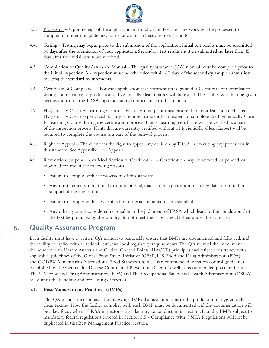

- 4.3. Processing Upon receipt of the application and application fee, the paperwork will be processed to completion under the guidelines for certification in Sections 5, 6, 7, and 8.
- 4.4. Testing Testing may begin prior to the submission of the application. Initial test results must be submitted 60 days after the submission of your application. Secondary test results must be submitted no later than 45 days after the initial results are received.
- 4.5. Compilation of Quality Assurance Manual The quality assurance (QA) manual must be compiled prior to the initial inspection. An inspection must be scheduled within 60 days of the secondary sample submission meeting the standard requirements.
- 4.6. Certificate of Compliance For each application that certification is granted, a Certificate of Compliance stating conformance to production of hygienically clean textiles will be issued. The facility will then be given permission to use the TRSA logo indicating conformance to this standard.
- 4.7. Hygienically Clean E-Learning Course Each certified plant must ensure there is at least one dedicated Hygienically Clean expert. Each facility is required to identify an expert to complete the Hygienically Clean E-Learning Course during the certification process. The E-Learning certificate will be verified as a part of the inspection process. Plants that are currently certified without a Hygienically Clean Expert will be required to complete the course as a part of the renewal process.
- 4.8. Right to Appeal The client has the right to appeal any decision by TRSA in executing any provisions in this standard. See Appendix 1 on Appeals.
- 4.9. Revocation, Suspension, or Modification of Certification Certification may be revoked, suspended, or modified for any of the following reasons.
	- Failure to comply with the provisions of this standard.
	- Any misstatements, intentional or unintentional, made in the application or in any data submitted in support of the application.
	- Failure to comply with the certification criteria contained in this standard.
	- Any other grounds considered reasonable in the judgment of TRSA which leads to the conclusion that the textiles produced by the laundry do not meet the criteria established under this standard.

### 5. Quality Assurance Program

Each facility must have a written QA manual to reasonably ensure that BMPs are documented and followed, and the facility complies with all federal, state, and local regulatory requirements. The QA manual shall document the adherence to Hazard Analysis and Critical Control Points (HACCP) principles and reflect consistency with applicable guidelines of the Global Food Safety Initiative (GFSI), U.S. Food and Drug Administration (FDA) and CODEX Alimentarius International Food Standards, as well as recommended infection control guidelines established by the Centers for Disease Control and Prevention (CDC) as well as recommended practices from The U.S. Food and Drug Administration (FDA) and The Occupational Safety and Health Administration (OSHA) relevant to the handling and processing of textiles.

#### 5.1. **Best Management Practices (BMPs)**

The QA manual incorporates the following BMPs that are important to the production of hygienically clean textiles. How the facility complies with each BMP must be documented and the documentation will be a key focus when a TRSA inspector visits a laundry to conduct an inspection. Laundry BMPs subject to mandatory federal regulations covered in Section 5.5 - Compliance with OSHA Regulations will not be duplicated in this Best Management Practices section.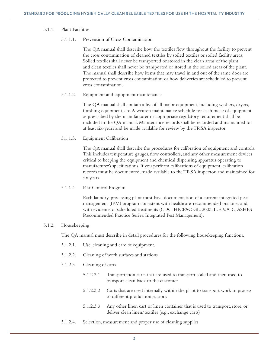#### 5.1.1. Plant Facilities

#### 5.1.1.1. Prevention of Cross Contamination

The QA manual shall describe how the textiles flow throughout the facility to prevent the cross contamination of cleaned textiles by soiled textiles or soiled facility areas. Soiled textiles shall never be transported or stored in the clean areas of the plant, and clean textiles shall never be transported or stored in the soiled areas of the plant. The manual shall describe how items that may travel in and out of the same door are protected to prevent cross contamination or how deliveries are scheduled to prevent cross contamination.

#### 5.1.1.2. Equipment and equipment maintenance

The QA manual shall contain a list of all major equipment, including washers, dryers, finishing equipment, etc. A written maintenance schedule for each piece of equipment as prescribed by the manufacturer or appropriate regulatory requirement shall be included in the QA manual. Maintenance records shall be recorded and maintained for at least six-years and be made available for review by the TRSA inspector.

5.1.1.3. Equipment Calibration

The QA manual shall describe the procedures for calibration of equipment and controls. This includes temperature gauges, flow controllers, and any other measurement devices critical to keeping the equipment and chemical dispensing apparatus operating to manufacturer's specifications. If you perform calibrations of equipment, calibration records must be documented, made available to the TRSA inspector, and maintained for six years.

5.1.1.4. Pest Control Program

Each laundry-processing plant must have documentation of a current integrated pest management (IPM) program consistent with healthcare-recommended practices and with evidence of scheduled treatments (CDC-HICPAC GL, 2003: II.E.V.A-C; ASHES Recommended Practice Series: Integrated Pest Management).

#### 5.1.2. Housekeeping

The QA manual must describe in detail procedures for the following housekeeping functions.

- 5.1.2.1. Use, cleaning and care of equipment.
- 5.1.2.2. Cleaning of work surfaces and stations
- 5.1.2.3. Cleaning of carts
	- 5.1.2.3.1 Transportation carts that are used to transport soiled and then used to transport clean back to the customer
	- 5.1.2.3.2 Carts that are used internally within the plant to transport work in process to different production stations
	- 5.1.2.3.3 Any other linen cart or linen container that is used to transport, store, or deliver clean linen/textiles (e.g., exchange carts)
- 5.1.2.4. Selection, measurement and proper use of cleaning supplies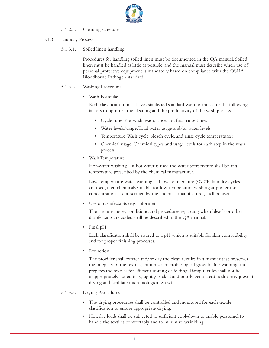

#### 5.1.2.5. Cleaning schedule

- 5.1.3. Laundry Process
	- 5.1.3.1. Soiled linen handling

Procedures for handling soiled linen must be documented in the QA manual. Soiled linen must be handled as little as possible, and the manual must describe when use of personal protective equipment is mandatory based on compliance with the OSHA Bloodborne Pathogen standard.

#### 5.1.3.2. Washing Procedures

• Wash Formulas

Each classification must have established standard wash formulas for the following factors to optimize the cleaning and the productivity of the wash process:

- Cycle time: Pre-wash, wash, rinse, and final rinse times
- Water levels/usage: Total water usage and/or water levels;
- Temperature: Wash cycle, bleach cycle, and rinse cycle temperatures;
- Chemical usage: Chemical types and usage levels for each step in the wash process.
- Wash Temperature

Hot-water washing – if hot water is used the water temperature shall be at a temperature prescribed by the chemical manufacturer.

Low-temperature water washing - if low-temperature (<70°F) laundry cycles are used, then chemicals suitable for low-temperature washing at proper use concentrations, as prescribed by the chemical manufacturer, shall be used.

• Use of disinfectants (e.g. chlorine)

The circumstances, conditions, and procedures regarding when bleach or other disinfectants are added shall be described in the QA manual.

• Final pH

Each classification shall be soured to a pH which is suitable for skin compatibility and for proper finishing processes.

• Extraction

The provider shall extract and/or dry the clean textiles in a manner that preserves the integrity of the textiles, minimizes microbiological growth after washing, and prepares the textiles for efficient ironing or folding. Damp textiles shall not be inappropriately stored (e.g., tightly packed and poorly ventilated) as this may prevent drying and facilitate microbiological growth.

#### 5.1.3.3. Drying Procedures

- The drying procedures shall be controlled and monitored for each textile classification to ensure appropriate drying.
- Hot, dry loads shall be subjected to sufficient cool-down to enable personnel to handle the textiles comfortably and to minimize wrinkling.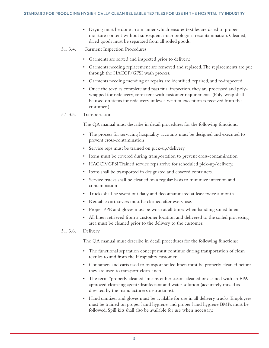- Drying must be done in a manner which ensures textiles are dried to proper moisture content without subsequent microbiological recontamination. Cleaned, dried goods must be separated from all soiled goods.
- 5.1.3.4. Garment Inspection Procedures
	- Garments are sorted and inspected prior to delivery.
	- Garments needing replacement are removed and replaced. The replacements are put through the HACCP/GFSI wash process.
	- Garments needing mending or repairs are identified, repaired, and re-inspected.
	- Once the textiles complete and pass final inspection, they are processed and polywrapped for redelivery, consistent with customer requirements. (Poly-wrap shall be used on items for redelivery unless a written exception is received from the customer.)

#### 5.1.3.5. Transportation

The QA manual must describe in detail procedures for the following functions:

- The process for servicing hospitality accounts must be designed and executed to prevent cross-contamination
- Service reps must be trained on pick-up/delivery
- Items must be covered during transportation to prevent cross-contamination
- HACCP/GFSI Trained service reps arrive for scheduled pick-up/delivery.
- Items shall be transported in designated and covered containers.
- Service trucks shall be cleaned on a regular basis to minimize infection and contamination
- Trucks shall be swept out daily and decontaminated at least twice a month.
- Reusable cart covers must be cleaned after every use.
- Proper PPE and gloves must be worn at all times when handling soiled linen.
- All linen retrieved from a customer location and delivered to the soiled processing area must be cleaned prior to the delivery to the customer.

#### 5.1.3.6. Delivery

The QA manual must describe in detail procedures for the following functions:

- The functional separation concept must continue during transportation of clean textiles to and from the Hospitality customer.
- Containers and carts used to transport soiled linen must be properly cleaned before they are used to transport clean linen.
- The term "properly cleaned" means either steam-cleaned or cleaned with an EPAapproved cleansing agent/disinfectant and water solution (accurately mixed as directed by the manufacturer's instructions).
- Hand sanitizer and gloves must be available for use in all delivery trucks. Employees must be trained on proper hand hygiene, and proper hand hygiene BMPs must be followed. Spill kits shall also be available for use when necessary.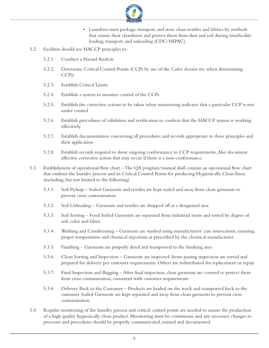

- Laundries must package, transport, and store clean textiles and fabrics by methods that ensure their cleanliness and protect them from dust and soil during interfacility loading, transport, and unloading (CDC/HIPAC).
- 5.2. Facilities should use HACCP principles to:
	- 5.2.1. Conduct a Hazard Analysis
	- 5.2.2. Determine Critical Control Points (CCPs by use of the *Codex decision tree* when determining CCPs)
	- 5.2.3. Establish Critical Limits
	- 5.2.4. Establish a system to monitor control of the CCPs
	- 5.2.5. Establish the corrective actions to be taken when monitoring indicates that a particular CCP is not under control
	- 5.2.6. Establish procedures of validation and verification to confirm that the HACCP system is working effectively
	- 5.2.7. Establish documentation concerning all procedures and records appropriate to these principles and their application
	- 5.2.8. Establish records required to show ongoing conformance to CCP requirements, Also document effective corrective action that may occur if there is a non-conformance.
- 5.3. Establishment of operational flow chart The QA program/manual shall contain an operational flow chart that outlines the laundry process and its Critical Control Points for producing Hygienically Clean linen. (including, but not limited to the following)
	- 5.3.1. Soil Pickup Soiled Garments and textiles are kept sealed and away from clean garments to prevent cross contamination
	- 5.3.2. Soil Unloading Garments and textiles are dropped off at a designated area
	- 5.3.3. Soil Sorting Food Soiled Garments are separated from industrial items and sorted by degree of soil, color and fabric
	- 5.3.4. Washing and Conditioning Garments are washed using manufacturers' care instructions, ensuring proper temperatures and chemical injections as prescribed by the chemical manufacturer.
	- 5.3.5. Finishing Garments are properly dried and transported to the finishing area
	- 5.3.6. Clean Sorting and Inspection Garments are inspected. Items passing inspection are sorted and prepared for delivery per customer requirements. Others are redistributed for replacement or repair
	- 5.3.7. Final Inspection and Bagging After final inspection, clean garments are covered to protect them from cross contamination, consistent with customer requirements
	- 5.3.8. Delivery Back to the Customer Products are loaded on the truck and transported back to the customer. Soiled Garments are kept separated and away from clean garments to prevent cross contamination
- 5.4. Regular monitoring of the laundry process and critical control points are needed to ensure the production of a high quality hygienically clean product. Monitoring must be continuous, and any necessary changes to processes and procedures should be properly communicated, trained and documented.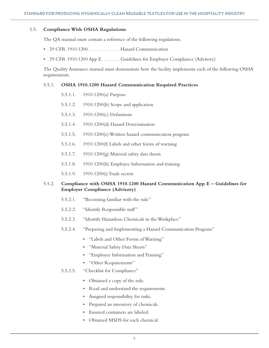#### 5.5. **Compliance With OSHA Regulations**

The QA manual must contain a reference of the following regulations.

- 29 CFR 1910.1200. . . . . . . . . . . Hazard Communication
- 29 CFR 1910.1200 App E. . . . . . . Guidelines for Employer Compliance (Advisory)

The Quality Assurance manual must demonstrate how the facility implements each of the following OSHA requirements.

#### 5.5.1. **OSHA 1910.1200 Hazard Communication Required Practices**

- 5.5.1.1. 1910.1200(a) Purpose
- 5.5.1.2. 1910.1200(b) Scope and application
- 5.5.1.3. 1910.1200(c) Definitions
- 5.5.1.4. 1910.1200(d) Hazard Determination
- 5.5.1.5. 1910.1200(e) Written hazard communication program
- 5.5.1.6. 1910.1200(f) Labels and other forms of warning
- 5.5.1.7. 1910.1200(g) Material safety data sheets
- 5.5.1.8. 1910.1200(h) Employee Information and training
- 5.5.1.9. 1910.1200(i) Trade secrets

#### 5.5.2. **Compliance with OSHA 1910.1200 Hazard Communication App E – Guidelines for Employer Compliance (Advisory)**

- 5.5.2.1. "Becoming familiar with the rule"
- 5.5.2.2. "Identify Responsible staff"
- 5.5.2.3. "Identify Hazardous Chemicals in the Workplace"
- 5.5.2.4. "Preparing and Implementing a Hazard Communication Program"
	- "Labels and Other Forms of Warning"
	- "Material Safety Data Sheets"
	- "Employee Information and Training"
	- "Other Requirements"
- 5.5.2.5. "Checklist for Compliance"
	- Obtained a copy of the rule.
	- Read and understand the requirements
	- Assigned responsibility for tasks.
	- Prepared an inventory of chemicals.
	- Ensured containers are labeled.
	- Obtained MSDS for each chemical.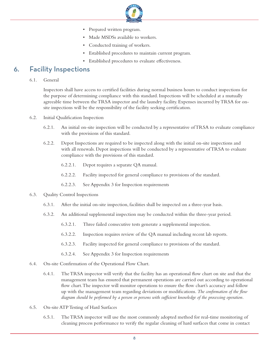

- Prepared written program.
- Made MSDSs available to workers.
- Conducted training of workers.
- Established procedures to maintain current program.
- Established procedures to evaluate effectiveness.

### 6. Facility Inspections

6.1. General

Inspectors shall have access to certified facilities during normal business hours to conduct inspections for the purpose of determining compliance with this standard. Inspections will be scheduled at a mutually agreeable time between the TRSA inspector and the laundry facility. Expenses incurred by TRSA for onsite inspections will be the responsibility of the facility seeking certification.

- 6.2. Initial Qualification Inspection
	- 6.2.1. An initial on-site inspection will be conducted by a representative of TRSA to evaluate compliance with the provisions of this standard.
	- 6.2.2. Depot Inspections are required to be inspected along with the initial on-site inspections and with all renewals. Depot inspections will be conducted by a representative of TRSA to evaluate compliance with the provisions of this standard.
		- 6.2.2.1. Depot requires a separate QA manual.
		- 6.2.2.2. Facility inspected for general compliance to provisions of the standard.
		- 6.2.2.3. See Appendix 3 for Inspection requirements
- 6.3. Quality Control Inspections
	- 6.3.1. After the initial on-site inspection, facilities shall be inspected on a three-year basis.
	- 6.3.2. An additional supplemental inspection may be conducted within the three-year period.
		- 6.3.2.1. Three failed consecutive tests generate a supplemental inspection.
		- 6.3.2.2. Inspection requires review of the QA manual including recent lab reports.
		- 6.3.2.3. Facility inspected for general compliance to provisions of the standard.
		- 6.3.2.4. See Appendix 3 for Inspection requirements
- 6.4. On-site Confirmation of the Operational Flow Chart.
	- 6.4.1. The TRSA inspector will verify that the facility has an operational flow chart on site and that the management team has ensured that permanent operations are carried out according to operational flow chart. The inspector will monitor operations to ensure the flow chart's accuracy and follow up with the management team regarding deviations or modifications. *The confirmation of the flow diagram should be performed by a person or persons with sufficient knowledge of the processing operation.*
- 6.5. On-site ATP Testing of Hard Surfaces
	- 6.5.1. The TRSA inspector will use the most commonly adopted method for real-time monitoring of cleaning process performance to verify the regular cleaning of hard surfaces that come in contact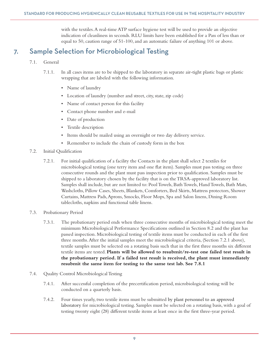with the textiles. A real-time ATP surface hygiene test will be used to provide an objective indication of cleanliness in seconds. RLU limits have been established for a Pass of less than or equal to 50, caution range of 51-100, and an automatic failure of anything 101 or above.

### 7. Sample Selection for Microbiological Testing

#### 7.1. General

- 7.1.1. In all cases items are to be shipped to the laboratory in separate air-tight plastic bags or plastic wrapping that are labeled with the following information.
	- Name of laundry
	- Location of laundry (number and street, city, state, zip code)
	- Name of contact person for this facility
	- Contact phone number and e-mail
	- Date of production
	- Textile description
	- Items should be mailed using an overnight or two day delivery service.
	- Remember to include the chain of custody form in the box
- 7.2. Initial Qualification
	- 7.2.1. For initial qualification of a facility the Contacts in the plant shall select 2 textiles for microbiological testing (one terry item and one flat item). Samples must pass testing on three consecutive rounds and the plant must pass inspection prior to qualification. Samples must be shipped to a laboratory chosen by the facility that is on the TRSA-approved laboratory list. Samples shall include, but are not limited to: Pool Towels, Bath Towels, Hand Towels, Bath Mats, Washcloths, Pillow Cases, Sheets, Blankets, Comforters, Bed Skirts, Mattress protectors, Shower Curtains, Mattress Pads, Aprons, Smocks, Floor Mops, Spa and Salon linens, Dining Room tablecloths, napkins and functional table linens.
- 7.3. Probationary Period
	- 7.3.1. The probationary period ends when three consecutive months of microbiological testing meet the minimum Microbiological Performance Specifications outlined in Section 8.2 and the plant has passed inspection. Microbiological testing of textile items must be conducted in each of the first three months. After the initial samples meet the microbiological criteria, (Section 7.2.1 above), textile samples must be selected on a rotating basis such that in the first three months six different textile items are tested. **Plants will be allowed to resubmit/re-test one failed test result in the probationary period. If a failed test result is received, the plant must immediately resubmit the same item for testing to the same test lab. See 7.8.1**
- 7.4. Quality Control Microbiological Testing
	- 7.4.1. After successful completion of the precertification period, microbiological testing will be conducted on a quarterly basis.
	- 7.4.2. Four times yearly, two textile items must be submitted by plant personnel to an approved laboratory for microbiological testing. Samples must be selected on a rotating basis, with a goal of testing twenty eight (28) different textile items at least once in the first three-year period.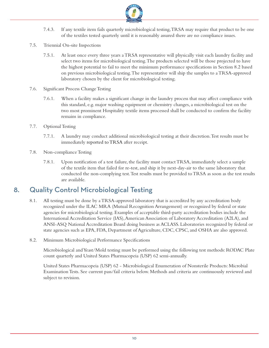

- 7.4.3. If any textile item fails quarterly microbiological testing, TRSA may require that product to be one of the textiles tested quarterly until it is reasonably assured there are no compliance issues.
- 7.5. Triennial On-site Inspections
	- 7.5.1. At least once every three years a TRSA representative will physically visit each laundry facility and select two items for microbiological testing. The products selected will be those projected to have the highest potential to fail to meet the minimum performance specifications in Section 8.2 based on previous microbiological testing. The representative will ship the samples to a TRSA-approved laboratory chosen by the client for microbiological testing.
- 7.6. Significant Process Change Testing
	- 7.6.1. When a facility makes a significant change in the laundry process that may affect compliance with this standard, e.g. major washing equipment or chemistry changes, a microbiological test on the two most prominent Hospitality textile items processed shall be conducted to confirm the facility remains in compliance.
- 7.7. Optional Testing
	- 7.7.1. A laundry may conduct additional microbiological testing at their discretion. Test results must be immediately reported to TRSA after receipt.
- 7.8. Non-compliance Testing
	- 7.8.1. Upon notification of a test failure, the facility must contact TRSA, immediately select a sample of the textile item that failed for re-test, and ship it by next-day-air to the same laboratory that conducted the non-complying test. Test results must be provided to TRSA as soon as the test results are available.

### 8. Quality Control Microbiological Testing

- 8.1. All testing must be done by a TRSA-approved laboratory that is accredited by any accreditation body recognized under the ILAC MRA (Mutual Recognition Arrangement) or recognized by federal or state agencies for microbiological testing. Examples of acceptable third-party accreditation bodies include the International Accreditation Service (IAS), American Association of Laboratory Accreditation (A2LA), and ANSI-ASQ National Accreditation Board doing business as ACLASS. Laboratories recognized by federal or state agencies such as EPA, FDA, Department of Agriculture, CDC, CPSC, and OSHA are also approved.
- 8.2. Minimum Microbiological Performance Specifications

Microbiological and Yeast/Mold testing must be performed using the following test methods: RODAC Plate count quarterly and United States Pharmacopeia (USP) 62 semi-annually.

United States Pharmacopeia (USP) 62 - Microbiological Enumeration of Nonsterile Products: Microbial Examination Tests. See current pass/fail criteria below. Methods and criteria are continuously reviewed and subject to revision.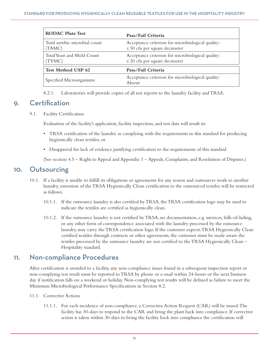| <b>RODAC Plate Test</b>                 | Pass/Fail Criteria                                                                      |
|-----------------------------------------|-----------------------------------------------------------------------------------------|
| Total aerobic microbial count<br>(TAMC) | Acceptance criterion for microbiological quality:<br>$\leq$ 50 cfu per square decimeter |
| Total Yeast and Mold Count<br>(TYMC)    | Acceptance criterion for microbiological quality:<br>$\leq$ 20 cfu per square decimeter |
| <b>Test Method USP 62</b>               | Pass/Fail Criteria                                                                      |
| Specified Microorganisms                | Acceptance criterion for microbiological quality:<br>Absent                             |

8.2.1. Laboratories will provide copies of all test reports to the laundry facility and TRSA.

### 9. Certification

9.1. Facility Certification

Evaluation of the facility's application, facility inspection, and test data will result in:

- TRSA certification of the laundry as complying with the requirements in this standard for producing hygienically clean textiles, or
- Disapproval for lack of evidence justifying certification to the requirements of this standard

(See section 4.5 – Right to Appeal and Appendix 1 – Appeals, Complaints, and Resolution of Disputes.)

### 10. Outsourcing

- 10.1. If a facility is unable to fulfill its obligations or agreements for any reason and outsources work to another laundry, extension of the TRSA Hygienically Clean certification to the outsourced textiles will be restricted as follows.
	- 10.1.1. If the outsource laundry is also certified by TRSA, the TRSA certification logo may be used to indicate the textiles are certified as hygienically clean.
	- 10.1.2. If the outsource laundry is not certified by TRSA, no documentation, e.g. invoices, bills-of-lading, or any other form of correspondence associated with the laundry processed by the outsource laundry, may carry the TRSA certification logo. If the customer expects TRSA Hygienically Clean certified textiles through contracts or other agreements, the customer must be made aware the textiles processed by the outsource laundry are not certified to the TRSA Hygienically Clean – Hospitality standard.

### 11. Non-compliance Procedures

After certification is awarded to a facility, any non-compliance issues found in a subsequent inspection report or non-complying test result must be reported to TRSA by phone or e-mail within 24-hours or the next business day if notification falls on a weekend or holiday. Non-complying test results will be defined as failure to meet the Minimum Microbiological Performance Specifications in Section 8.2.

- 11.1. Corrective Actions
	- 11.1.1. For each incidence of non-compliance, a Corrective Action Request (CAR) will be issued. The facility has 30-days to respond to the CAR and bring the plant back into compliance. If corrective action is taken within 30-days to bring the facility back into compliance the certification will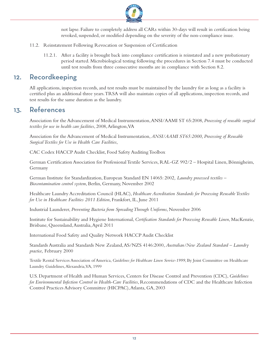

not lapse. Failure to completely address all CARs within 30-days will result in certification being revoked, suspended, or modified depending on the severity of the non-compliance issue.

- 11.2. Reinstatement Following Revocation or Suspension of Certification
	- 11.2.1. After a facility is brought back into compliance certification is reinstated and a new probationary period started. Microbiological testing following the procedures in Section 7.4 must be conducted until test results from three consecutive months are in compliance with Section 8.2.

### 12. Recordkeeping

All applications, inspection records, and test results must be maintained by the laundry for as long as a facility is certified plus an additional three years. TRSA will also maintain copies of all applications, inspection records, and test results for the same duration as the laundry.

### 13. References

Association for the Advancement of Medical Instrumentation, ANSI/AAMI ST 65:2008, *Processing of reusable surgical textiles for use in health care facilities*, 2008, Arlington, VA

Association for the Advancement of Medical Instrumentation, *ANSI/AAMI ST65:2000, Processing of Reusable Surgical Textiles for Use in Health Care Facilities*,

CAC Codex HACCP Audit Checklist, Food Safety Auditing Toolbox

German Certification Association for Professional Textile Services, RAL-GZ 992/2 – Hospital Linen, Bönnigheim, Germany

German Institute for Standardization, European Standard EN 14065: 2002*, Laundry processed textiles – Biocontamination control system*, Berlin, Germany, November 2002

Healthcare Laundry Accreditation Council (HLAC), *Healthcare Accreditation Standards for Processing Reusable Textiles for Use in Healthcare Facilities 2011 Edition*, Frankfort, IL, June 2011

Industrial Launderer, *Preventing Bacteria from Spreading Through Uniforms*, November 2006

Institute for Sustainability and Hygiene International, *Certification Standards for Processing Reusable Linen*, MacKenzie, Brisbane, Queensland, Australia, April 2011

International Food Safety and Quality Network HACCP Audit Checklist

Standards Australia and Standards New Zealand, AS/NZS 4146:2000, *Australian/New Zealand Standard – Laundry practice,* February 2000

Textile Rental Services Association of America, *Guidelines for Healthcare Linen Service-1999*, By Joint Committee on Healthcare Laundry Guidelines, Alexandria, VA, 1999

U.S. Department of Health and Human Services, Centers for Disease Control and Prevention (CDC), *Guidelines for Environmental Infection Control in Health-Care Facilities*, Recommendations of CDC and the Healthcare Infection Control Practices Advisory Committee (HICPAC), Atlanta, GA, 2003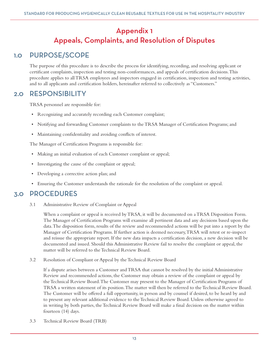## Appendix 1 Appeals, Complaints, and Resolution of Disputes

### 1.0 PURPOSE/SCOPE

The purpose of this procedure is to describe the process for identifying, recording, and resolving applicant or certificant complaints, inspection and testing non-conformances, and appeals of certification decisions. This procedure applies to all TRSA employees and inspectors engaged in certification, inspection and testing activities, and to all applicants and certification holders, hereinafter referred to collectively as "Customers."

### 2.0 RESPONSIBILITY

TRSA personnel are responsible for:

- Recognizing and accurately recording each Customer complaint;
- Notifying and forwarding Customer complaints to the TRSA Manager of Certification Programs; and
- Maintaining confidentiality and avoiding conflicts of interest.

The Manager of Certification Programs is responsible for:

- Making an initial evaluation of each Customer complaint or appeal;
- Investigating the cause of the complaint or appeal;
- Developing a corrective action plan; and
- Ensuring the Customer understands the rationale for the resolution of the complaint or appeal.

### 3.0 PROCEDURES

3.1 Administrative Review of Complaint or Appeal

When a complaint or appeal is received by TRSA, it will be documented on a TRSA Disposition Form. The Manager of Certification Programs will examine all pertinent data and any decisions based upon the data. The disposition form, results of the review and recommended actions will be put into a report by the Manager of Certification Programs. If further action is deemed necessary, TRSA will retest or re-inspect and reissue the appropriate report. If the new data impacts a certification decision, a new decision will be documented and issued. Should this Administrative Review fail to resolve the complaint or appeal, the matter will be referred to the Technical Review Board.

3.2 Resolution of Compliant or Appeal by the Technical Review Board

If a dispute arises between a Customer and TRSA that cannot be resolved by the initial Administrative Review and recommended actions, the Customer may obtain a review of the complaint or appeal by the Technical Review Board. The Customer may present to the Manager of Certification Programs of TRSA a written statement of its position. The matter will then be referred to the Technical Review Board. The Customer will be offered a full opportunity, in person and by counsel if desired, to be heard by and to present any relevant additional evidence to the Technical Review Board. Unless otherwise agreed to in writing by both parties, the Technical Review Board will make a final decision on the matter within fourteen (14) days.

3.3 Technical Review Board (TRB)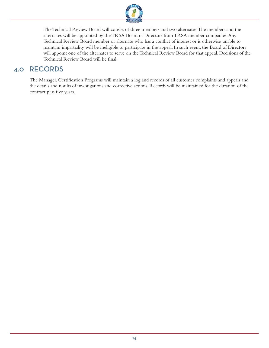

The Technical Review Board will consist of three members and two alternates. The members and the alternates will be appointed by the TRSA Board of Directors from TRSA member companies. Any Technical Review Board member or alternate who has a conflict of interest or is otherwise unable to maintain impartiality will be ineligible to participate in the appeal. In such event, the Board of Directors will appoint one of the alternates to serve on the Technical Review Board for that appeal. Decisions of the Technical Review Board will be final.

### 4.0 RECORDS

The Manager, Certification Programs will maintain a log and records of all customer complaints and appeals and the details and results of investigations and corrective actions. Records will be maintained for the duration of the contract plus five years.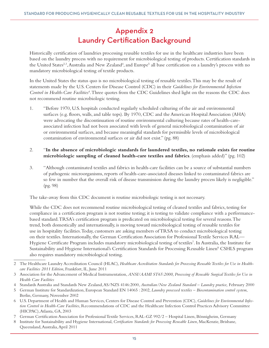# Appendix 2 Laundry Certification Background

Historically certification of laundries processing reusable textiles for use in the healthcare industries have been based on the laundry process with no requirement for microbiological testing of products. Certification standards in the United States<sup>2,3</sup>, Australia and New Zealand<sup>4</sup>, and Europe<sup>5</sup> all base certification on a laundry's process with no mandatory microbiological testing of textile products.

In the United States the status quo is no microbiological testing of reusable textiles. This may be the result of statements made by the U.S. Centers for Disease Control (CDC) in their *Guidelines for Environmental Infection*  Control in Health-Care Facilities<sup>6</sup>. Three quotes from the CDC Guidelines shed light on the reasons the CDC does not recommend routine microbiologic testing.

- 1. "Before 1970, U.S. hospitals conducted regularly scheduled culturing of the air and environmental surfaces (e.g. floors, walls, and table tops). By 1970, CDC and the American Hospital Association (AHA) were advocating the discontinuation of routine environmental culturing because rates of health-careassociated infection had not been associated with levels of general microbiological contamination of air or environmental surfaces, and because meaningful standards for permissible levels of microbiological contamination of environmental surfaces or air did not exist." (pg. 88)
- 2. "**In the absence of microbiologic standards for laundered textiles, no rationale exists for routine microbiologic sampling of cleaned health-care textiles and fabrics**. (emphasis added)" (pg. 102)
- 3. "Although contaminated textiles and fabrics in health-care facilities can be a source of substantial numbers of pathogenic microorganisms, reports of health-care-associated diseases linked to contaminated fabrics are so few in number that the overall risk of disease transmission during the laundry process likely is negligible." (pg. 98)

The take-away from this CDC document is routine microbiologic testing is not necessary.

While the CDC does not recommend routine microbiological testing of cleaned textiles and fabrics, testing for compliance in a certification program is not routine testing; it is testing to validate compliance with a performancebased standard. TRSA's certification program is predicated on microbiological testing for several reasons. The trend, both domestically and internationally, is moving toward microbiological testing of reusable textiles for use in hospitality facilities. Today, customers are asking members of TRSA to conduct microbiological testing on their textiles. Internationally, the German Certification Association for Professional Textile Services RAL— Hygiene Certificate Program includes mandatory microbiological testing of textiles<sup>7</sup>. In Australia, the Institute for Sustainability and Hygiene International's Certification Standards for Processing Reusable Linen<sup>8</sup> CSHLS program also requires mandatory microbiological testing.

- 2 The Healthcare Laundry Accreditation Council (HLAC), *Healthcare Accreditation Standards for Processing Reusable Textiles for Use in Healthcare Facilities 2011 Edition*, Frankfort, IL, June 2011
- 3 Association for the Advancement of Medical Instrumentation, *ANSI/AAMI ST65:2000, Processing of Reusable Surgical Textiles for Use in Health Care Facilities*
- 4 Standards Australia and Standards New Zealand, AS/NZS 4146:2000, *Australian/New Zealand Standard Laundry practice,* February 2000
- 5 German Institute for Standardization, European Standard EN 14065 : 2002, *Laundry processed textiles Biocontamination control system*, Berlin, Germany, November 2002
- 6 U.S. Department of Health and Human Services, Centers for Disease Control and Prevention (CDC), *Guidelines for Environmental Infection Control in Health-Care Facilities*, Recommendations of CDC and the Healthcare Infection Control Practices Advisory Committee (HICPAC), Atlanta, GA, 2003
- 7 German Certification Association for Professional Textile Services, RAL-GZ 992/2 Hospital Linen, Bönnigheim, Germany
- 8 Institute for Sustainability and Hygiene International, *Certification Standards for Processing Reusable Linen*, MacKenzie, Brisbane, Queensland, Australia, April 2011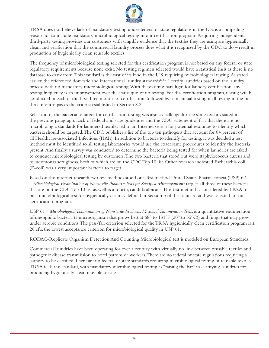

TRSA does not believe lack of mandatory testing under federal or state regulations in the U.S. is a compelling reason not to include mandatory microbiological testing in our certification program. Requiring independent, third-party testing provides our customers with tangible evidence that the textiles they are using are hygienically clean, and verification that the commercial laundry process does what it is recognized by the CDC to do – result in production of hygienically clean reusable textiles.

The frequency of microbiological testing selected for this certification program is not based on any federal or state regulatory requirements because none exist. No testing regimen selected would have a statistical basis as there is no database to draw from. This standard is the first of its kind in the U.S. requiring microbiological testing. As stated earlier, the referenced domestic and international laundry standards<sup>1,2,3,4</sup> certify laundries based on the laundry process with no mandatory microbiological testing. With the existing paradigm for laundry certification, any testing frequency is an improvement over the status quo of no testing. For this certification program, testing will be conducted in each of the first three months of certification, followed by semiannual testing if all testing in the first three months passes the criteria established in Section 8.2.

Selection of the bacteria to target for certification testing was also a challenge for the same reasons stated in the previous paragraph. Lack of federal and state guidelines and the CDC statement of fact that there are no microbiologic standards for laundered textiles led to an Internet search for potential resources to identify which bacteria should be targeted. The CDC publishes a list of the top ten pathogens that account for 84 percent of all Healthcare-associated Infections (HAIs). In addition to bacteria to identify for testing, it was decided a test method must be identified so all testing laboratories would use the exact same procedures to identify the bacteria present. And finally, a survey was conducted to determine the bacteria being tested for when laundries are asked to conduct microbiological testing by customers. The two bacteria that stood out were staphylococcus aureus and pseudomonas aeruginosa, both of which are on the CDC Top 10 list. Other research indicated Escherichia coli (E-coli) was a very important bacteria to target.

Based on this internet research two test methods stood out. Test method United States Pharmacopeia (USP) 62 – *Microbiological Examination of Nonsterile Products: Tests for Specified Microorganisms* targets all three of these bacteria that are on the CDC Top 10 list as well as a fourth, candida albicans. This test method is considered by TRSA to be a microbiological test for hygienically clean as defined in Section 3 of this standard and was selected for our certification program.

USP 61 - *Microbiological Examination of Nonsterile Products: Microbial Enumeration Tests*, is a quantitative enumeration of mesophilic bacteria (a microorganism that grows best at 68° to 131°F (20° to 55°C)) and fungi that may grow under aerobic conditions. The pass/fail criterion selected for the TRSA hygienically clean certification program is  $\leq$ 20 cfu, the lowest acceptance criterion for microbiological quality in USP 61.

RODAC-Replicate Organism Detection And Counting Microbiological test is modeled on European Standards.

Commercial laundries have been operating for over a century with virtually no link between reusable textiles and pathogenic disease transmission to hotel patrons or workers. There are no federal or state regulations requiring a laundry to be certified. There are no federal or state standards requiring microbiological testing of reusable textiles. TRSA feels this standard, with mandatory microbiological testing, is "raising the bar" in certifying laundries for producing hygienically clean reusable textiles.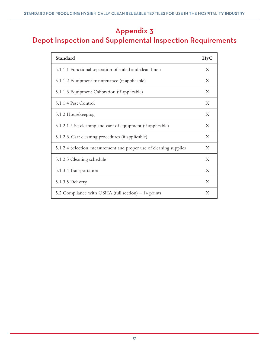# Appendix 3 Depot Inspection and Supplemental Inspection Requirements

| Standard                                                           |              |
|--------------------------------------------------------------------|--------------|
| 5.1.1.1 Functional separation of soiled and clean linen            |              |
| 5.1.1.2 Equipment maintenance (if applicable)                      |              |
| 5.1.1.3 Equipment Calibration (if applicable)                      |              |
| 5.1.1.4 Pest Control                                               | X            |
| 5.1.2 Housekeeping                                                 | X            |
| 5.1.2.1. Use cleaning and care of equipment (if applicable)        |              |
| 5.1.2.3. Cart cleaning procedures (if applicable)                  |              |
| 5.1.2.4 Selection, measurement and proper use of cleaning supplies | X            |
| 5.1.2.5 Cleaning schedule                                          | $\mathsf{X}$ |
| 5.1.3.4 Transportation                                             | $\mathsf{X}$ |
| 5.1.3.5 Delivery                                                   | $\mathsf{X}$ |
| 5.2 Compliance with OSHA (full section) – 14 points                | $\mathsf{X}$ |